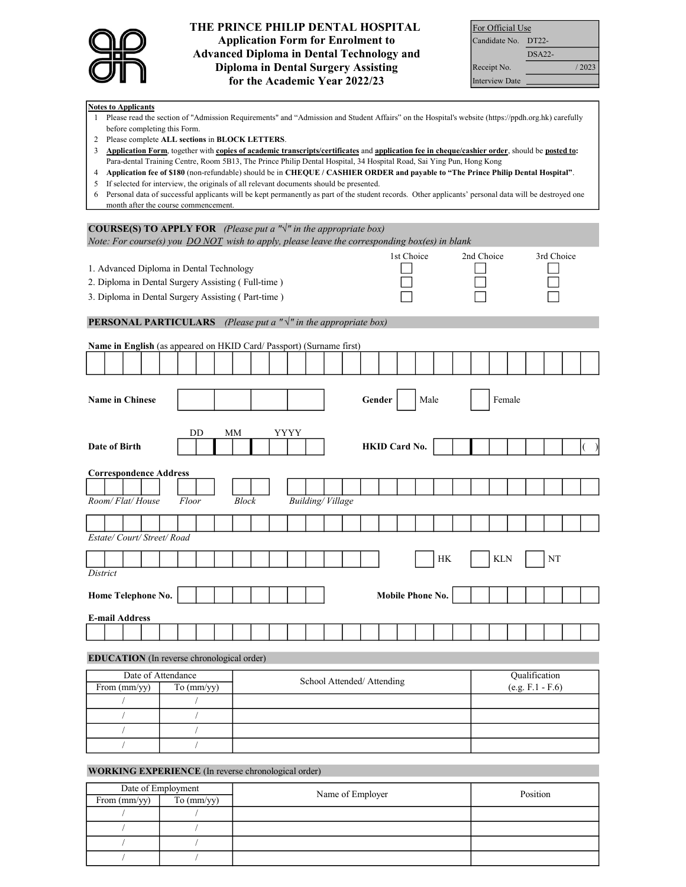

# THE PRINCE PHILIP DENTAL HOSPITAL Application Form for Enrolment to Advanced Diploma in Dental Technology and Diploma in Dental Surgery Assisting for the Academic Year 2022/23

| For Official Use      |          |       |  |  |  |  |  |
|-----------------------|----------|-------|--|--|--|--|--|
| Candidate No. DT22-   |          |       |  |  |  |  |  |
|                       | $DSA22-$ |       |  |  |  |  |  |
| Receipt No.           |          | /2023 |  |  |  |  |  |
| <b>Interview Date</b> |          |       |  |  |  |  |  |

#### Notes to Applicants

- 1 Please read the section of "Admission Requirements" and "Admission and Student Affairs" on the Hospital's website (https://ppdh.org.hk) carefully before completing this Form.
- 2 Please complete ALL sections in BLOCK LETTERS.
- 3 Application Form, together with copies of academic transcripts/certificates and application fee in cheque/cashier order, should be posted to: Para-dental Training Centre, Room 5B13, The Prince Philip Dental Hospital, 34 Hospital Road, Sai Ying Pun, Hong Kong
- 4 Application fee of \$180 (non-refundable) should be in CHEQUE / CASHIER ORDER and payable to "The Prince Philip Dental Hospital".
- 5 If selected for interview, the originals of all relevant documents should be presented.
- 6 Personal data of successful applicants will be kept permanently as part of the student records. Other applicants' personal data will be destroyed one month after the course commencement.

| <b>COURSE(S) TO APPLY FOR</b> (Please put a " $\sqrt{ }$ " in the appropriate box)              |            |              |                         |                            |                      |           |            |            |                    |            |   |
|-------------------------------------------------------------------------------------------------|------------|--------------|-------------------------|----------------------------|----------------------|-----------|------------|------------|--------------------|------------|---|
| Note: For course(s) you $DO NOT$ wish to apply, please leave the corresponding box(es) in blank |            |              |                         |                            |                      |           |            |            |                    |            |   |
| 1. Advanced Diploma in Dental Technology                                                        |            |              |                         |                            | 1st Choice           |           | 2nd Choice |            |                    | 3rd Choice |   |
| 2. Diploma in Dental Surgery Assisting (Full-time)                                              |            |              |                         |                            |                      |           |            |            |                    |            |   |
| 3. Diploma in Dental Surgery Assisting (Part-time)                                              |            |              |                         |                            |                      |           |            |            |                    |            |   |
|                                                                                                 |            |              |                         |                            |                      |           |            |            |                    |            |   |
| <b>PERSONAL PARTICULARS</b> (Please put a $"\sqrt{''}$ in the appropriate box)                  |            |              |                         |                            |                      |           |            |            |                    |            |   |
| Name in English (as appeared on HKID Card/ Passport) (Surname first)                            |            |              |                         |                            |                      |           |            |            |                    |            |   |
|                                                                                                 |            |              |                         |                            |                      |           |            |            |                    |            |   |
|                                                                                                 |            |              |                         |                            |                      |           |            |            |                    |            |   |
| <b>Name in Chinese</b>                                                                          |            |              |                         | Gender                     |                      | Male      |            | Female     |                    |            |   |
|                                                                                                 |            |              |                         |                            |                      |           |            |            |                    |            |   |
|                                                                                                 |            |              |                         |                            |                      |           |            |            |                    |            |   |
|                                                                                                 | DD         | MМ           | YYYY                    |                            |                      |           |            |            |                    |            |   |
| Date of Birth                                                                                   |            |              |                         |                            | <b>HKID Card No.</b> |           |            |            |                    |            | € |
|                                                                                                 |            |              |                         |                            |                      |           |            |            |                    |            |   |
| <b>Correspondence Address</b>                                                                   |            |              |                         |                            |                      |           |            |            |                    |            |   |
| Room/Flat/House                                                                                 | Floor      | <b>Block</b> | <b>Building/Village</b> |                            |                      |           |            |            |                    |            |   |
|                                                                                                 |            |              |                         |                            |                      |           |            |            |                    |            |   |
|                                                                                                 |            |              |                         |                            |                      |           |            |            |                    |            |   |
| Estate/Court/Street/Road                                                                        |            |              |                         |                            |                      |           |            |            |                    |            |   |
|                                                                                                 |            |              |                         |                            |                      |           |            |            |                    |            |   |
| District                                                                                        |            |              |                         |                            |                      | $\rm{HK}$ |            | <b>KLN</b> |                    | NT         |   |
|                                                                                                 |            |              |                         |                            |                      |           |            |            |                    |            |   |
| Home Telephone No.                                                                              |            |              |                         |                            | Mobile Phone No.     |           |            |            |                    |            |   |
|                                                                                                 |            |              |                         |                            |                      |           |            |            |                    |            |   |
| <b>E-mail Address</b>                                                                           |            |              |                         |                            |                      |           |            |            |                    |            |   |
|                                                                                                 |            |              |                         |                            |                      |           |            |            |                    |            |   |
| <b>EDUCATION</b> (In reverse chronological order)                                               |            |              |                         |                            |                      |           |            |            |                    |            |   |
| Date of Attendance                                                                              |            |              |                         | School Attended/ Attending |                      |           |            |            | Qualification      |            |   |
| From (mm/yy)                                                                                    | To (mm/yy) |              |                         |                            |                      |           |            |            | $(e.g. F.1 - F.6)$ |            |   |
|                                                                                                 | $\sqrt{2}$ |              |                         |                            |                      |           |            |            |                    |            |   |
|                                                                                                 | $\sqrt{2}$ |              |                         |                            |                      |           |            |            |                    |            |   |
| $\sqrt{2}$                                                                                      | $\sqrt{2}$ |              |                         |                            |                      |           |            |            |                    |            |   |
| $\sqrt{2}$                                                                                      | $\sqrt{2}$ |              |                         |                            |                      |           |            |            |                    |            |   |

## WORKING EXPERIENCE (In reverse chronological order)

| Date of Employment |            | Name of Employer | Position |  |  |
|--------------------|------------|------------------|----------|--|--|
| From (mm/yy)       | To (mm/yy) |                  |          |  |  |
|                    |            |                  |          |  |  |
|                    |            |                  |          |  |  |
|                    |            |                  |          |  |  |
|                    |            |                  |          |  |  |